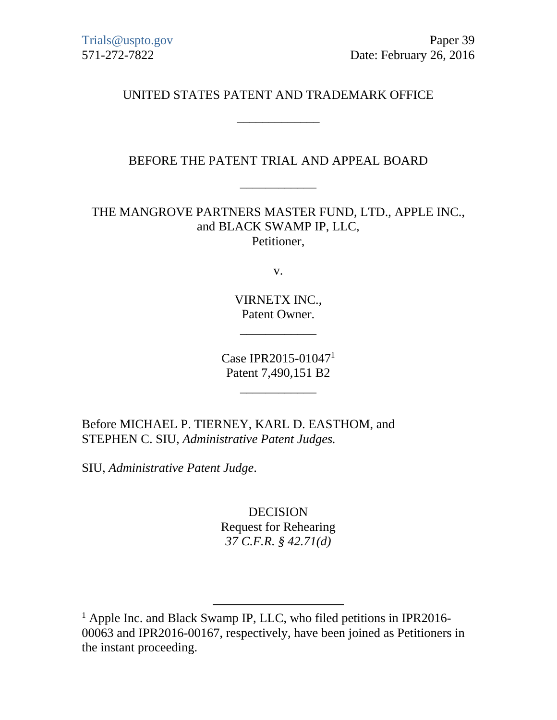Trials@uspto.gov Paper 39 571-272-7822 Date: February 26, 2016

UNITED STATES PATENT AND TRADEMARK OFFICE

\_\_\_\_\_\_\_\_\_\_\_\_\_

BEFORE THE PATENT TRIAL AND APPEAL BOARD

\_\_\_\_\_\_\_\_\_\_\_\_

THE MANGROVE PARTNERS MASTER FUND, LTD., APPLE INC., and BLACK SWAMP IP, LLC, Petitioner,

v.

VIRNETX INC., Patent Owner.

\_\_\_\_\_\_\_\_\_\_\_\_

Case IPR2015-010471 Patent 7,490,151 B2

\_\_\_\_\_\_\_\_\_\_\_\_

Before MICHAEL P. TIERNEY, KARL D. EASTHOM, and STEPHEN C. SIU, *Administrative Patent Judges.* 

SIU, *Administrative Patent Judge*.

DECISION Request for Rehearing *37 C.F.R. § 42.71(d)* 

<sup>&</sup>lt;sup>1</sup> Apple Inc. and Black Swamp IP, LLC, who filed petitions in IPR2016-00063 and IPR2016-00167, respectively, have been joined as Petitioners in the instant proceeding.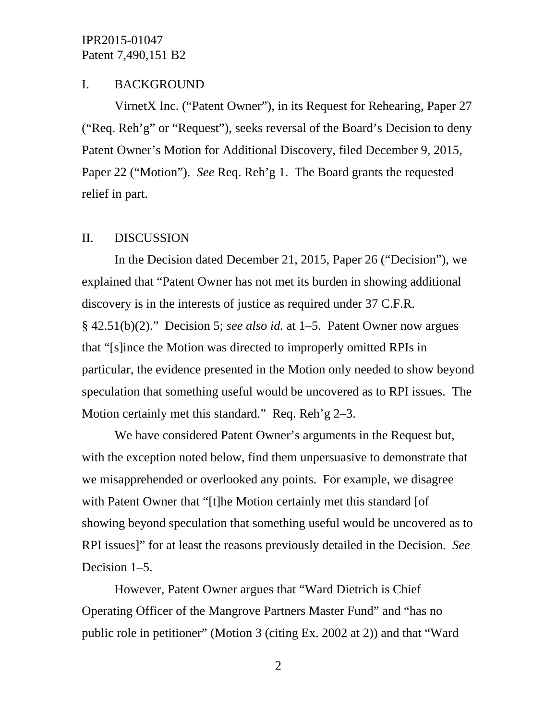## I. BACKGROUND

VirnetX Inc. ("Patent Owner"), in its Request for Rehearing, Paper 27 ("Req. Reh'g" or "Request"), seeks reversal of the Board's Decision to deny Patent Owner's Motion for Additional Discovery, filed December 9, 2015, Paper 22 ("Motion"). *See* Req. Reh'g 1. The Board grants the requested relief in part.

#### II. DISCUSSION

In the Decision dated December 21, 2015, Paper 26 ("Decision"), we explained that "Patent Owner has not met its burden in showing additional discovery is in the interests of justice as required under 37 C.F.R. § 42.51(b)(2)." Decision 5; *see also id.* at 1–5. Patent Owner now argues that "[s]ince the Motion was directed to improperly omitted RPIs in particular, the evidence presented in the Motion only needed to show beyond speculation that something useful would be uncovered as to RPI issues. The Motion certainly met this standard." Req. Reh'g 2–3.

We have considered Patent Owner's arguments in the Request but, with the exception noted below, find them unpersuasive to demonstrate that we misapprehended or overlooked any points. For example, we disagree with Patent Owner that "[t]he Motion certainly met this standard [of showing beyond speculation that something useful would be uncovered as to RPI issues]" for at least the reasons previously detailed in the Decision. *See* Decision 1–5.

However, Patent Owner argues that "Ward Dietrich is Chief Operating Officer of the Mangrove Partners Master Fund" and "has no public role in petitioner" (Motion 3 (citing Ex. 2002 at 2)) and that "Ward

2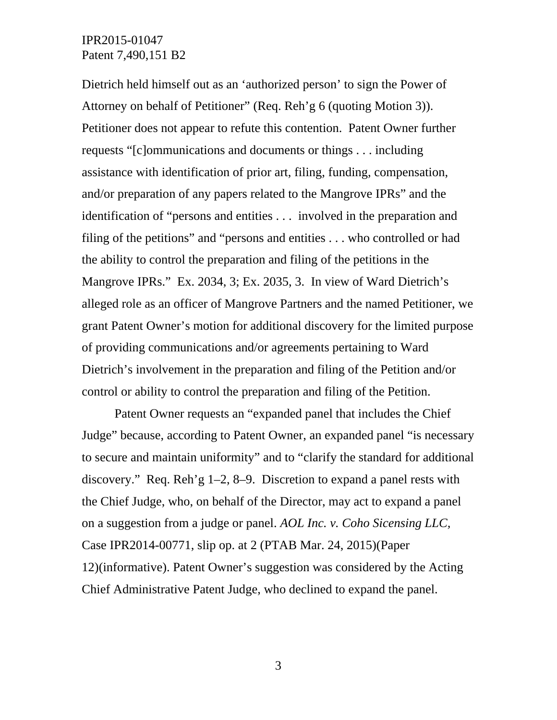Dietrich held himself out as an 'authorized person' to sign the Power of Attorney on behalf of Petitioner" (Req. Reh'g 6 (quoting Motion 3)). Petitioner does not appear to refute this contention. Patent Owner further requests "[c]ommunications and documents or things . . . including assistance with identification of prior art, filing, funding, compensation, and/or preparation of any papers related to the Mangrove IPRs" and the identification of "persons and entities . . . involved in the preparation and filing of the petitions" and "persons and entities . . . who controlled or had the ability to control the preparation and filing of the petitions in the Mangrove IPRs." Ex. 2034, 3; Ex. 2035, 3. In view of Ward Dietrich's alleged role as an officer of Mangrove Partners and the named Petitioner, we grant Patent Owner's motion for additional discovery for the limited purpose of providing communications and/or agreements pertaining to Ward Dietrich's involvement in the preparation and filing of the Petition and/or control or ability to control the preparation and filing of the Petition.

Patent Owner requests an "expanded panel that includes the Chief Judge" because, according to Patent Owner, an expanded panel "is necessary to secure and maintain uniformity" and to "clarify the standard for additional discovery." Req. Reh'g 1–2, 8–9. Discretion to expand a panel rests with the Chief Judge, who, on behalf of the Director, may act to expand a panel on a suggestion from a judge or panel. *AOL Inc. v. Coho Sicensing LLC,*  Case IPR2014-00771, slip op. at 2 (PTAB Mar. 24, 2015)(Paper 12)(informative). Patent Owner's suggestion was considered by the Acting Chief Administrative Patent Judge, who declined to expand the panel.

3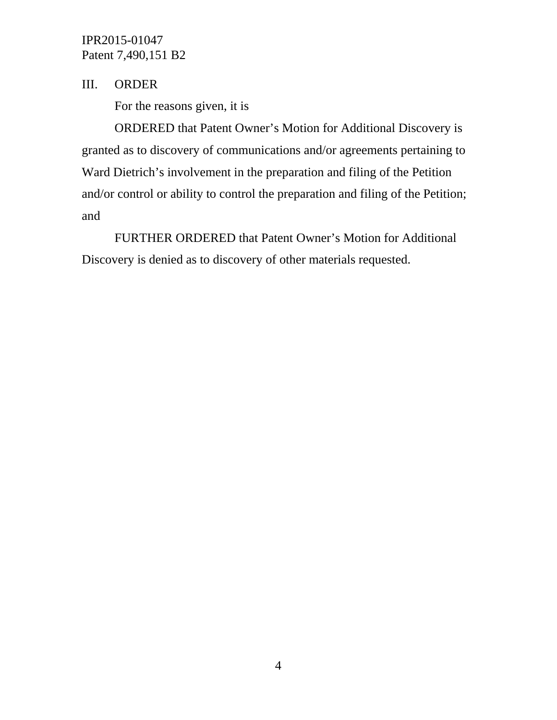# III. ORDER

For the reasons given, it is

 ORDERED that Patent Owner's Motion for Additional Discovery is granted as to discovery of communications and/or agreements pertaining to Ward Dietrich's involvement in the preparation and filing of the Petition and/or control or ability to control the preparation and filing of the Petition; and

FURTHER ORDERED that Patent Owner's Motion for Additional Discovery is denied as to discovery of other materials requested.